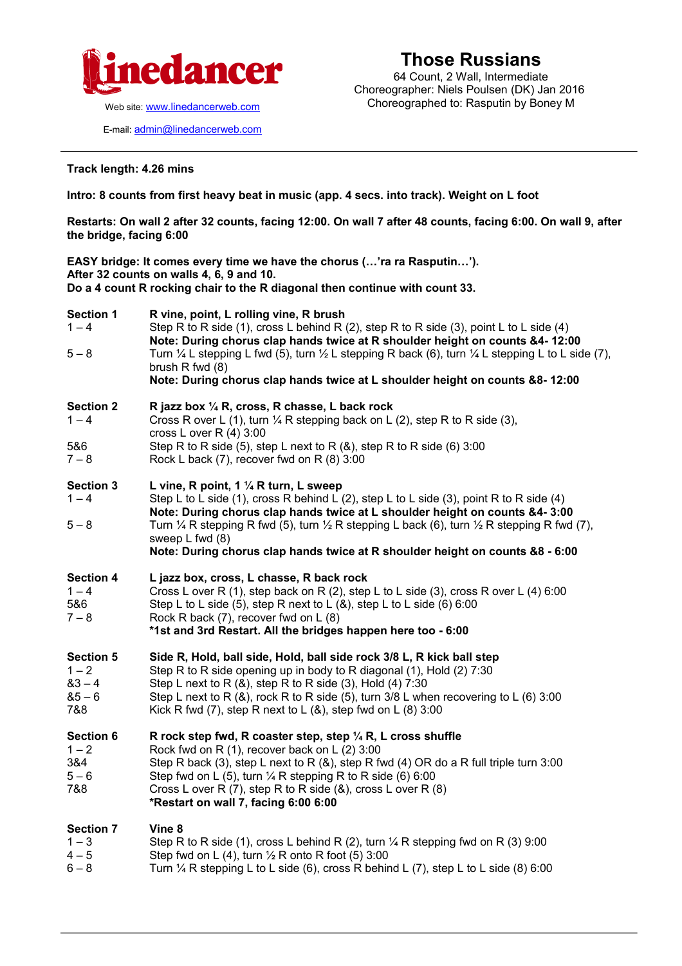

Web site: [www.linedancerweb.com](http://www.linedancermagazine.com/)

E-mail: [admin@linedancerweb.com](mailto:admin@linedancerweb.com)

## **Those Russians**

64 Count, 2 Wall, Intermediate Choreographer: Niels Poulsen (DK) Jan 2016 Choreographed to: Rasputin by Boney M

**Track length: 4.26 mins**

## **Intro: 8 counts from first heavy beat in music (app. 4 secs. into track). Weight on L foot**

**Restarts: On wall 2 after 32 counts, facing 12:00. On wall 7 after 48 counts, facing 6:00. On wall 9, after the bridge, facing 6:00**

**EASY bridge: It comes every time we have the chorus (…'ra ra Rasputin…'). After 32 counts on walls 4, 6, 9 and 10. Do a 4 count R rocking chair to the R diagonal then continue with count 33.**

| <b>Section 1</b><br>$1 - 4$<br>$5 - 8$                     | R vine, point, L rolling vine, R brush<br>Step R to R side (1), cross L behind R (2), step R to R side (3), point L to L side (4)<br>Note: During chorus clap hands twice at R shoulder height on counts &4- 12:00<br>Turn $\frac{1}{4}$ L stepping L fwd (5), turn $\frac{1}{2}$ L stepping R back (6), turn $\frac{1}{4}$ L stepping L to L side (7),<br>brush $R$ fwd $(8)$<br>Note: During chorus clap hands twice at L shoulder height on counts &8-12:00 |
|------------------------------------------------------------|----------------------------------------------------------------------------------------------------------------------------------------------------------------------------------------------------------------------------------------------------------------------------------------------------------------------------------------------------------------------------------------------------------------------------------------------------------------|
| <b>Section 2</b><br>$1 - 4$<br>5&6<br>$7 - 8$              | R jazz box 1/4 R, cross, R chasse, L back rock<br>Cross R over L (1), turn $\frac{1}{4}$ R stepping back on L (2), step R to R side (3),<br>cross L over R $(4)$ 3:00<br>Step R to R side (5), step L next to R $(8)$ , step R to R side (6) 3:00<br>Rock L back (7), recover fwd on R (8) 3:00                                                                                                                                                                |
| <b>Section 3</b><br>$1 - 4$<br>$5 - 8$                     | L vine, R point, 1 $\frac{1}{4}$ R turn, L sweep<br>Step L to L side (1), cross R behind L (2), step L to L side (3), point R to R side (4)<br>Note: During chorus clap hands twice at L shoulder height on counts &4-3:00<br>Turn $\frac{1}{4}$ R stepping R fwd (5), turn $\frac{1}{2}$ R stepping L back (6), turn $\frac{1}{2}$ R stepping R fwd (7),<br>sweep L fwd (8)<br>Note: During chorus clap hands twice at R shoulder height on counts &8 - 6:00  |
| <b>Section 4</b><br>$1 - 4$<br>5&6<br>$7 - 8$              | L jazz box, cross, L chasse, R back rock<br>Cross L over R (1), step back on R (2), step L to L side (3), cross R over L (4) 6:00<br>Step L to L side (5), step R next to L (&), step L to L side (6) 6:00<br>Rock R back (7), recover fwd on L (8)<br>*1st and 3rd Restart. All the bridges happen here too - 6:00                                                                                                                                            |
| <b>Section 5</b><br>$1 - 2$<br>$83 - 4$<br>$85 - 6$<br>7&8 | Side R, Hold, ball side, Hold, ball side rock 3/8 L, R kick ball step<br>Step R to R side opening up in body to R diagonal (1), Hold (2) 7:30<br>Step L next to R $(8)$ , step R to R side $(3)$ , Hold $(4)$ 7:30<br>Step L next to R $(8)$ , rock R to R side (5), turn 3/8 L when recovering to L $(6)$ 3:00<br>Kick R fwd (7), step R next to L $(8)$ , step fwd on L $(8)$ 3:00                                                                           |
| <b>Section 6</b><br>$1 - 2$<br>3&4<br>$5 - 6$<br>7&8       | R rock step fwd, R coaster step, step $\frac{1}{4}$ R, L cross shuffle<br>Rock fwd on R (1), recover back on L (2) 3:00<br>Step R back (3), step L next to R ( $\&$ ), step R fwd (4) OR do a R full triple turn 3:00<br>Step fwd on L (5), turn $\frac{1}{4}$ R stepping R to R side (6) 6:00<br>Cross L over R $(7)$ , step R to R side $(8)$ , cross L over R $(8)$<br>*Restart on wall 7, facing 6:00 6:00                                                 |
| <b>Section 7</b><br>$1 - 3$<br>$4 - 5$<br>$6 - 8$          | Vine 8<br>Step R to R side (1), cross L behind R (2), turn 1/4 R stepping fwd on R (3) 9:00<br>Step fwd on L (4), turn $\frac{1}{2}$ R onto R foot (5) 3:00<br>Turn $\frac{1}{4}$ R stepping L to L side (6), cross R behind L (7), step L to L side (8) 6:00                                                                                                                                                                                                  |